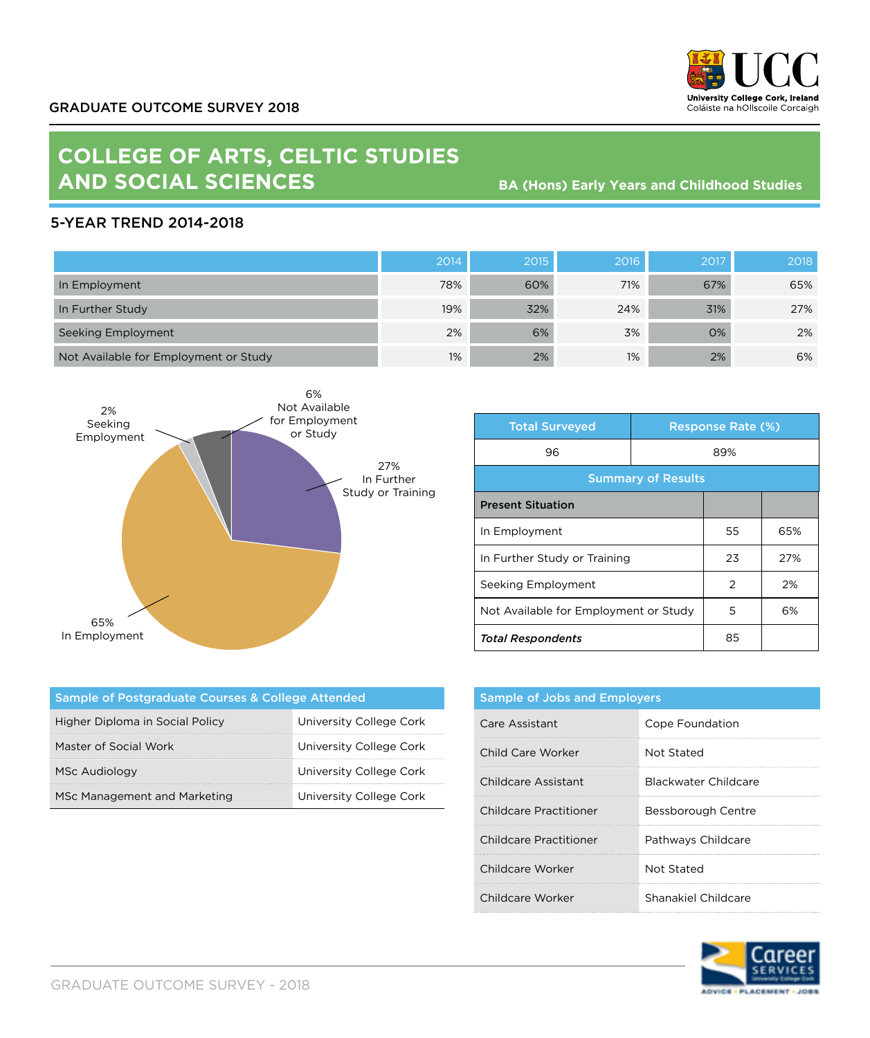

## **COLLEGE OF ARTS, CELTIC STUDIES AND SOCIAL SCIENCES**

**BA (Hons) Early Years and Childhood Studies**

## 5-YEAR TREND 2014-2018

|                                       | 2014 | 2015 | 2016 | 2017 | 2018 |
|---------------------------------------|------|------|------|------|------|
| In Employment                         | 78%  | 60%  | 71%  | 67%  | 65%  |
| In Further Study                      | 19%  | 32%  | 24%  | 31%  | 27%  |
| Seeking Employment                    | 2%   | 6%   | 3%   | 0%   | 2%   |
| Not Available for Employment or Study | 1%   | 2%   | 1%   | 2%   | 6%   |



| <b>Total Surveyed</b>                 |     | <b>Response Rate (%)</b> |     |
|---------------------------------------|-----|--------------------------|-----|
| 96                                    | 89% |                          |     |
| <b>Summary of Results</b>             |     |                          |     |
| <b>Present Situation</b>              |     |                          |     |
| In Employment                         |     | 55                       | 65% |
| In Further Study or Training          |     | 23                       | 27% |
| Seeking Employment                    |     | 2                        | 2%  |
| Not Available for Employment or Study |     | 5                        | 6%  |
| <b>Total Respondents</b>              |     | 85                       |     |

| Sample of Postgraduate Courses & College Attended |                         |  |  |  |
|---------------------------------------------------|-------------------------|--|--|--|
| Higher Diploma in Social Policy                   | University College Cork |  |  |  |
| Master of Social Work                             | University College Cork |  |  |  |
| <b>MSc Audiology</b>                              | University College Cork |  |  |  |
| MSc Management and Marketing                      | University College Cork |  |  |  |

| <b>Sample of Jobs and Employers</b> |                      |  |
|-------------------------------------|----------------------|--|
| Care Assistant                      | Cope Foundation      |  |
| Child Care Worker                   | Not Stated           |  |
| Childcare Assistant                 | Blackwater Childcare |  |
| Childcare Practitioner              | Bessborough Centre   |  |
| Childcare Practitioner              | Pathways Childcare   |  |
| Childcare Worker                    | Not Stated           |  |
| Childcare Worker                    | Shanakiel Childcare  |  |